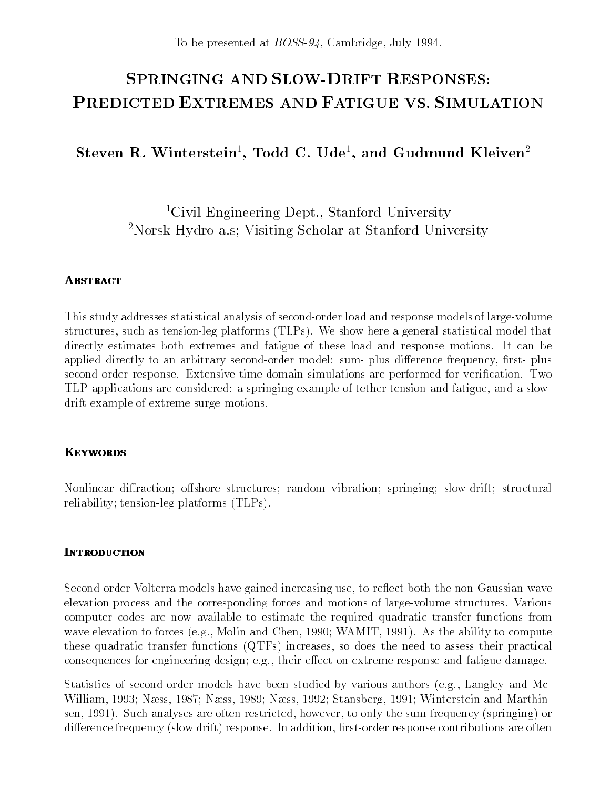To be presented at *BOSS-94*, Cambridge, July 1994.

# **SPRINGING AND SLOW-DRIFT RESPONSES:** PREDICTED EXTREMES AND FATIGUE VS. SIMULATION

 $S$ teven  $R$ . Winterstein $\cdot$ , 10dd  $C$ . Ude $\cdot$ , and Gudmund Kleiven $\cdot$ 

<sup>1</sup>Civil Engineering Dept., Stanford University 2Norsk Hydro a.s; Visiting Scholar at Stanford University

This study addresses statistical analysis of second-order load and response models of large-volume structures, such as tension-leg platforms (TLPs). We show here a general statistical model that directly estimates both extremes and fatigue of these load and response motions. It can be applied directly to an arbitrary second-order model: sum- plus difference frequency, first- plus second-order response. Extensive time-domain simulations are performed for verification. Two TLP applications are considered: a springing example of tether tension and fatigue, and a slowdrift example of extreme surge motions.

Nonlinear diffraction; offshore structures; random vibration; springing; slow-drift; structural reliability; tension-leg platforms (TLPs).

# **INTRODUCTION**

Second-order Volterra models have gained increasing use, to reflect both the non-Gaussian wave elevation process and the corresponding forces and motions of large-volume structures. Various computer codes are now available to estimate the required quadratic transfer functions from wave elevation to forces (e.g., Molin and Chen, 1990; WAMIT, 1991). As the ability to compute these quadratic transfer functions (QTFs) increases, so does the need to assess their practical consequences for engineering design; e.g., their effect on extreme response and fatigue damage.

Statistics of second-order models have been studied by various authors (e.g., Langley and Mc-William, 1993; Næss, 1987; Næss, 1989; Næss, 1992; Stansberg, 1991; Winterstein and Marthinsen, 1991). Such analyses are often restricted, however, to only the sum frequency (springing) or difference frequency (slow drift) response. In addition, first-order response contributions are often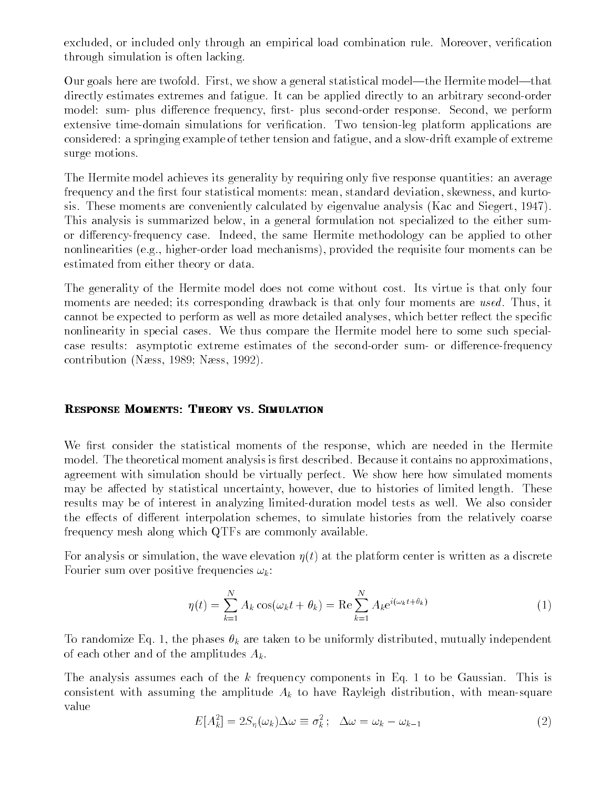excluded, or included only through an empirical load combination rule. Moreover, verication through simulation is often lacking.

Our goals here are twofold. First, we show a general statistical model—the Hermite model—that directly estimates extremes and fatigue. It can be applied directly to an arbitrary second-order model: sum- plus difference frequency, first- plus second-order response. Second, we perform extensive time-domain simulations for verification. Two tension-leg platform applications are considered: a springing example of tether tension and fatigue, and a slow-drift example of extreme surge motions.

The Hermite model achieves its generality by requiring only five response quantities: an average frequency and the first four statistical moments: mean, standard deviation, skewness, and kurtosis. These moments are conveniently calculated by eigenvalue analysis (Kac and Siegert, 1947). This analysis is summarized below, in a general formulation not specialized to the either sumor differency-frequency case. Indeed, the same Hermite methodology can be applied to other nonlinearities (e.g., higher-order load mechanisms), provided the requisite four moments can be estimated from either theory or data.

The generality of the Hermite model does not come without cost. Its virtue is that only four moments are needed; its corresponding drawback is that only four moments are used. Thus, it cannot be expected to perform as well as more detailed analyses, which better reflect the specific nonlinearity in special cases. We thus compare the Hermite model here to some such specialcase results: asymptotic extreme estimates of the second-order sum- or difference-frequency contribution (Nass, 1989; Nass, 1992).

#### RESPONSE MOMENTS: THEORY VS. SIMULATION

We first consider the statistical moments of the response, which are needed in the Hermite model. The theoretical moment analysis is first described. Because it contains no approximations, agreement with simulation should be virtually perfect. We show here how simulated moments may be affected by statistical uncertainty, however, due to histories of limited length. These results may be of interest in analyzing limited-duration model tests as well. We also consider the effects of different interpolation schemes, to simulate histories from the relatively coarse frequency mesh along which QTFs are commonly available.

For analysis or simulation, the wave elevation  $\eta(t)$  at the platform center is written as a discrete Fourier sum over positive frequencies  $\omega_k$ :

$$
\eta(t) = \sum_{k=1}^{N} A_k \cos(\omega_k t + \theta_k) = \text{Re} \sum_{k=1}^{N} A_k e^{i(\omega_k t + \theta_k)}
$$
(1)

To randomize Eq. 1, the phases  $\theta_k$  are taken to be uniformly distributed, mutually independent of each other and of the amplitudes  $A_k$ .

The analysis assumes each of the  $k$  frequency components in Eq. 1 to be Gaussian. This is consistent with assuming the amplitude  $A_k$  to have Rayleigh distribution, with mean-square value

$$
E[A_k^2] = 2S_\eta(\omega_k)\Delta\omega \equiv \sigma_k^2; \quad \Delta\omega = \omega_k - \omega_{k-1}
$$
\n(2)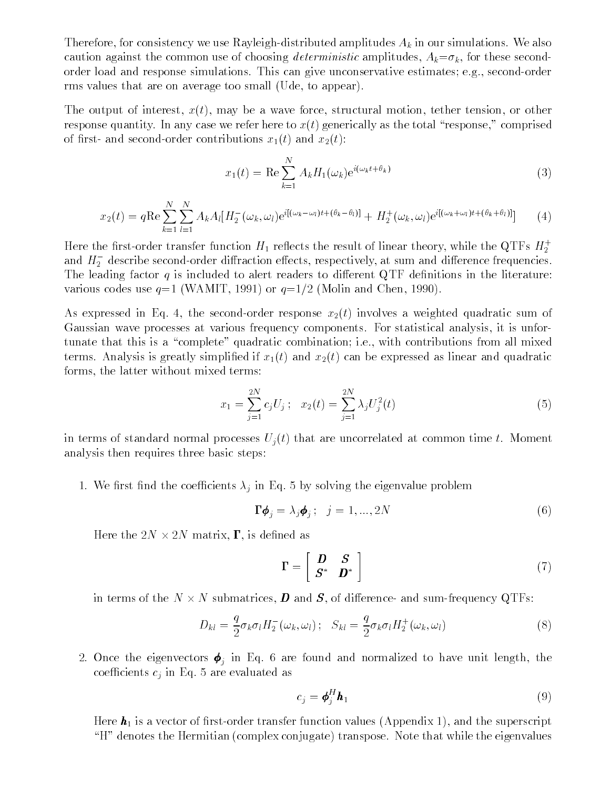Therefore, for consistency we use Rayleigh-distributed amplitudes  $A_k$  in our simulations. We also caution against the common use of choosing *deterministic* amplitudes,  $A_k = \sigma_k$ , for these secondorder load and response simulations. This can give unconservative estimates; e.g., second-order rms values that are on average too small (Ude, to appear).

The output of interest,  $x(t)$ , may be a wave force, structural motion, tether tension, or other response quantity. In any case we refer here to  $x(t)$  generically as the total "response," comprised of first- and second-order contributions  $x_1(t)$  and  $x_2(t)$ :

$$
x_1(t) = \text{Re}\sum_{k=1}^{N} A_k H_1(\omega_k) e^{i(\omega_k t + \theta_k)}
$$
\n(3)

$$
x_2(t) = q \operatorname{Re} \sum_{k=1}^{N} \sum_{l=1}^{N} A_k A_l [H_2^-(\omega_k, \omega_l) e^{i[(\omega_k - \omega_l)t + (\theta_k - \theta_l)]} + H_2^+(\omega_k, \omega_l) e^{i[(\omega_k + \omega_l)t + (\theta_k + \theta_l)]}] \tag{4}
$$

Here the first-order transfer function  $H_1$  reflects the result of linear theory, while the QTFs  $H_2^+$ and  $H_2$  -describe second-order difiraction effects, respectively, at sum and difference frequencies. The leading factor  $q$  is included to alert readers to different QTF definitions in the literature: various codes use  $q=1$  (WAMIT, 1991) or  $q=1/2$  (Molin and Chen, 1990).

As expressed in Eq. 4, the second-order response  $x_2(t)$  involves a weighted quadratic sum of Gaussian wave processes at various frequency components. For statistical analysis, it is unfortunate that this is a "complete" quadratic combination; i.e., with contributions from all mixed terms. Analysis is greatly simplified if  $x_1(t)$  and  $x_2(t)$  can be expressed as linear and quadratic forms, the latter without mixed terms:

$$
x_1 = \sum_{j=1}^{2N} c_j U_j ; \quad x_2(t) = \sum_{j=1}^{2N} \lambda_j U_j^2(t)
$$
 (5)

in terms of standard normal processes  $U_i(t)$  that are uncorrelated at common time t. Moment analysis then requires three basic steps:

1. We first find the coefficients  $\lambda_j$  in Eq. 5 by solving the eigenvalue problem

$$
\Gamma \phi_j = \lambda_j \phi_j; \quad j = 1, ..., 2N \tag{6}
$$

Here the 2N - 2N matrix, , is dened as

$$
\Gamma = \left[ \begin{array}{cc} \boldsymbol{D} & \boldsymbol{S} \\ \boldsymbol{S}^* & \boldsymbol{D}^* \end{array} \right] \tag{7}
$$

in terms of the N - N submatrices, D and S, of dierence- and sum-frequency QTFs:

$$
D_{kl} = \frac{q}{2}\sigma_k \sigma_l H_2^-(\omega_k, \omega_l); \quad S_{kl} = \frac{q}{2}\sigma_k \sigma_l H_2^+(\omega_k, \omega_l)
$$
\n
$$
(8)
$$

 $\overline{O}$  in Eq. 6 are found and normalized to have unit length, the found and normalized to have unit length, the found and  $\overline{O}$  are found and normalized to have unit length, the found and normalized to have unit leng coefficients  $c_j$  in Eq. 5 are evaluated as

$$
c_j = \boldsymbol{\phi}_j^H \boldsymbol{h}_1 \tag{9}
$$

Here  $h_1$  is a vector of first-order transfer function values (Appendix 1), and the superscript  $H$ " denotes the Hermitian (complex conjugate) transpose. Note that while the eigenvalues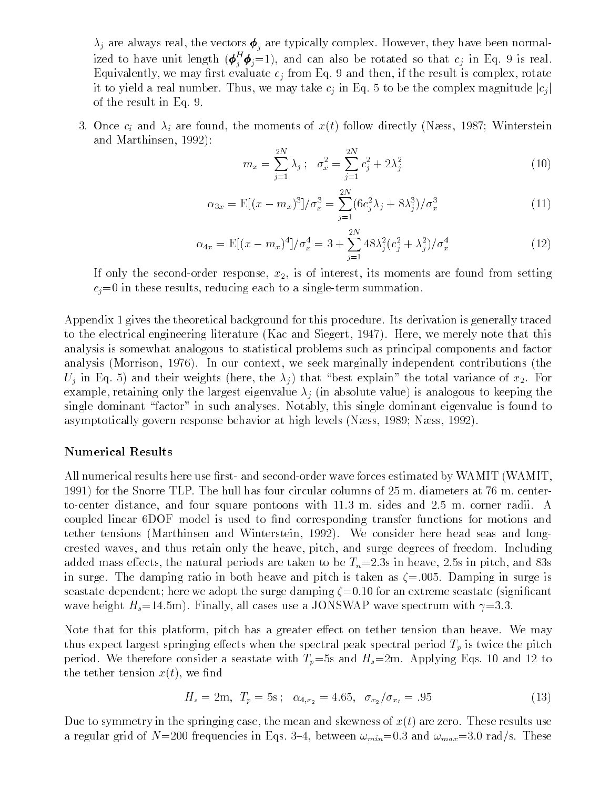$\lambda_j$  are always real, the vectors  $\boldsymbol{\phi}_i$  are typically complex. However, they have been normalized to have unit length  $(\pmb{\phi}_i^-\pmb{\phi}_j\!=\!1),$  and can also be rotated so that  $c_j$  in Eq. 9 is real. Equivalently, we may first evaluate  $c_j$  from Eq. 9 and then, if the result is complex, rotate it to yield a real number. Thus, we may take  $c_j$  in Eq. 5 to be the complex magnitude  $|c_j|$ of the result in Eq. 9.

3. Once  $c_i$  and  $\lambda_i$  are found, the moments of  $x(t)$  follow directly (Næss, 1987; Winterstein and Marthinsen, 1992):

$$
m_x = \sum_{j=1}^{2N} \lambda_j \, ; \quad \sigma_x^2 = \sum_{j=1}^{2N} c_j^2 + 2\lambda_j^2 \tag{10}
$$

$$
\alpha_{3x} = \mathbb{E}[(x - m_x)^3]/\sigma_x^3 = \sum_{j=1}^{2N} (6c_j^2 \lambda_j + 8\lambda_j^3)/\sigma_x^3
$$
 (11)

$$
\alpha_{4x} = \mathbb{E}[(x - m_x)^4]/\sigma_x^4 = 3 + \sum_{j=1}^{2N} 48\lambda_j^2 (c_j^2 + \lambda_j^2)/\sigma_x^4
$$
 (12)

If only the second-order response,  $x_2$ , is of interest, its moments are found from setting  $c_i=0$  in these results, reducing each to a single-term summation.

Appendix 1 gives the theoretical background for this procedure. Its derivation is generally traced to the electrical engineering literature (Kac and Siegert, 1947). Here, we merely note that this analysis is somewhat analogous to statistical problems such as principal components and factor analysis (Morrison, 1976). In our context, we seek marginally independent contributions (the  $U_j$  in Eq. 5) and their weights (here, the  $\lambda_j$ ) that "best explain" the total variance of  $x_2$ . For example, retaining only the largest eigenvalue  $\lambda_j$  (in absolute value) is analogous to keeping the single dominant "factor" in such analyses. Notably, this single dominant eigenvalue is found to asymptotically govern response behavior at high levels (Næss, 1989; Næss, 1992).

#### Numerical Results

All numerical results here use first- and second-order wave forces estimated by WAMIT (WAMIT, 1991) for the Snorre TLP. The hull has four circular columns of 25 m. diameters at 76 m. centerto-center distance, and four square pontoons with 11.3 m. sides and 2.5 m. corner radii. A coupled linear 6DOF model is used to find corresponding transfer functions for motions and tether tensions (Marthinsen and Winterstein, 1992). We consider here head seas and longcrested waves, and thus retain only the heave, pitch, and surge degrees of freedom. Including added mass effects, the natural periods are taken to be  $T_n=2.3s$  in heave, 2.5s in pitch, and 83s in surge. The damping ratio in both heave and pitch is taken as  $\zeta = .005$ . Damping in surge is seastate-dependent; here we adopt the surge damping  $\zeta = 0.10$  for an extreme seastate (significant wave height  $H_s=14.5$ m). Finally, all cases use a JONSWAP wave spectrum with  $\gamma=3.3$ .

Note that for this platform, pitch has a greater effect on tether tension than heave. We may thus expect largest springing effects when the spectral peak spectral period  $T_p$  is twice the pitch period. We therefore consider a seastate with  $T_p=5s$  and  $H_s=2m$ . Applying Eqs. 10 and 12 to the tether tension  $x(t)$ , we find

$$
H_s = 2m, T_p = 5s; \quad \alpha_{4,x_2} = 4.65, \quad \sigma_{x_2}/\sigma_{x_t} = .95 \tag{13}
$$

Due to symmetry in the springing case, the mean and skewness of  $x(t)$  are zero. These results use a regular grid of  $N=200$  frequencies in Eqs. 3-4, between  $\omega_{min}=0.3$  and  $\omega_{max}=3.0$  rad/s. These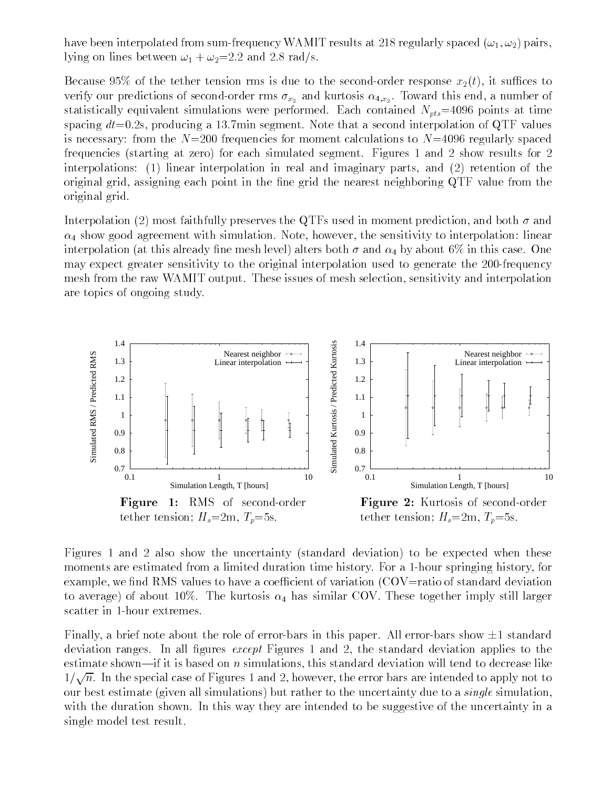have been interpolated from sum-frequency WAMIT results at 218 regularly spaced  $(\omega_1, \omega_2)$  pairs, lying on lines between  $\omega_1 + \omega_2 = 2.2$  and 2.8 rad/s.

Because 95% of the tether tension rms is due to the second-order response  $x_2(t)$ , it suffices to  $\alpha$  and predictions of second-order rms  $\alpha_2$  and kurtosis  $\alpha_1$ ,x2. Toward this end, a number of  $\alpha$ statistically equivalent simulations were performed. Each contained  $N_{pts}=4096$  points at time spacing  $dt=0.2$ s, producing a 13.7min segment. Note that a second interpolation of QTF values is necessary: from the  $N=200$  frequencies for moment calculations to  $N=4096$  regularly spaced frequencies (starting at zero) for each simulated segment. Figures 1 and 2 show results for 2 interpolations: (1) linear interpolation in real and imaginary parts, and (2) retention of the original grid, assigning each point in the fine grid the nearest neighboring QTF value from the original grid.

Interpolation (2) most faithfully preserves the QTFs used in moment prediction, and both  $\sigma$  and  $\alpha_4$  show good agreement with simulation. Note, however, the sensitivity to interpolation: linear interpolation (at this already fine mesh level) alters both  $\sigma$  and  $\alpha_4$  by about 6% in this case. One may expect greater sensitivity to the original interpolation used to generate the 200-frequency mesh from the raw WAMIT output. These issues of mesh selection, sensitivity and interpolation are topics of ongoing study.



Figures 1 and 2 also show the uncertainty (standard deviation) to be expected when these moments are estimated from a limited duration time history. For a 1-hour springing history, for example, we find RMS values to have a coefficient of variation  $(COV=ratio\ of\ standard\ deviation$ to average) of about 10%. The kurtosis  $\alpha_4$  has similar COV. These together imply still larger scatter in 1-hour extremes.

Finally, a brief note about the role of error-bars in this paper. All error-bars show  $\pm 1$  standard deviation ranges. In all figures *except* Figures 1 and 2, the standard deviation applies to the estimate shown—if it is based on  $n$  simulations, this standard deviation will tend to decrease like  $1/\sqrt{n}$ . In the special case of Figures 1 and 2, however, the error bars are intended to apply not to our best estimate (given all simulations) but rather to the uncertainty due to a *single* simulation, with the duration shown. In this way they are intended to be suggestive of the uncertainty in a single model test result.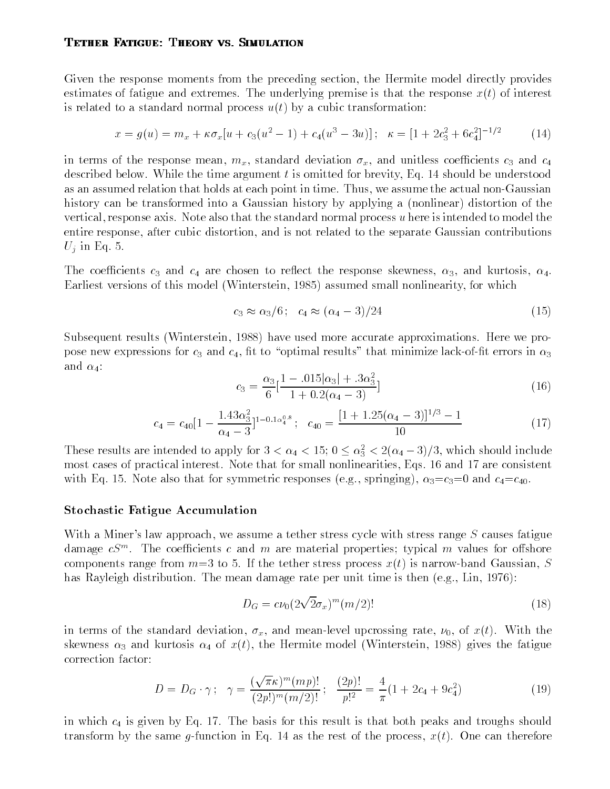#### **TETHER FATIGUE: THEORY VS. SIMULATION**

Given the response moments from the preceding section, the Hermite model directly provides estimates of fatigue and extremes. The underlying premise is that the response  $x(t)$  of interest is related to a standard normal process  $u(t)$  by a cubic transformation:

$$
x = g(u) = m_x + \kappa \sigma_x [u + c_3(u^2 - 1) + c_4(u^3 - 3u)]; \quad \kappa = [1 + 2c_3^2 + 6c_4^2]^{-1/2}
$$
 (14)

in terms of the response mean,  $m_x$ , standard deviation  $\sigma_x$ , and unitless coefficients  $c_3$  and  $c_4$ described below. While the time argument  $t$  is omitted for brevity, Eq. 14 should be understood as an assumed relation that holds at each point in time. Thus, we assume the actual non-Gaussian history can be transformed into a Gaussian history by applying a (nonlinear) distortion of the vertical, response axis. Note also that the standard normal process u here is intended to model the entire response, after cubic distortion, and is not related to the separate Gaussian contributions  $U_i$  in Eq. 5.

The coefficients  $c_3$  and  $c_4$  are chosen to reflect the response skewness,  $\alpha_3$ , and kurtosis,  $\alpha_4$ . Earliest versions of this model (Winterstein, 1985) assumed small nonlinearity, for which

$$
c_3 \approx \alpha_3/6 \, ; \quad c_4 \approx (\alpha_4 - 3)/24 \tag{15}
$$

Subsequent results (Winterstein, 1988) have used more accurate approximations. Here we propose new expressions for  $c_3$  and  $c_4$ , fit to "optimal results" that minimize lack-of-fit errors in  $\alpha_3$ and  $\alpha_4$ :

$$
c_3 = \frac{\alpha_3}{6} \left[ \frac{1 - .015|\alpha_3| + .3\alpha_3^2}{1 + 0.2(\alpha_4 - 3)} \right]
$$
\n
$$
(16)
$$

$$
c_4 = c_{40} \left[ 1 - \frac{1.43 \alpha_3^2}{\alpha_4 - 3} \right]^{1 - 0.1 \alpha_4^{0.8}}; \quad c_{40} = \frac{\left[ 1 + 1.25(\alpha_4 - 3) \right]^{1/3} - 1}{10} \tag{17}
$$

These results are intended to apply for  $3 < \alpha_4 < 15$ ;  $0 \le \alpha_3 < 2(\alpha_4 - 3)/3$ , which should include most cases of practical interest. Note that for small nonlinearities, Eqs. 16 and 17 are consistent with Eq. 15. Note also that for symmetric responses (e.g., springing),  $\alpha_3=c_3=0$  and  $c_4=c_{40}$ .

#### Stochastic Fatigue Accumulation

With a Miner's law approach, we assume a tether stress cycle with stress range  $S$  causes fatigue damage  $c_{\mathcal{S}}$  . The coefficients c and m are material properties; typical m values for offshore components range from  $m=3$  to 5. If the tether stress process  $x(t)$  is narrow-band Gaussian, S has Rayleigh distribution. The mean damage rate per unit time is then (e.g., Lin, 1976):

$$
D_G = c\nu_0 \left(2\sqrt{2}\sigma_x\right)^m \left(m/2\right)!\tag{18}
$$

in terms of the standard deviation,  $\sigma_x$ , and mean-level upcrossing rate,  $\nu_0$ , of  $x(t)$ . With the skewness  $\alpha_3$  and kurtosis  $\alpha_4$  of  $x(t)$ , the Hermite model (Winterstein, 1988) gives the fatigue correction factor:

$$
D = D_G \cdot \gamma \, ; \quad \gamma = \frac{(\sqrt{\pi} \kappa)^m (m p)!}{(2p!)^m (m/2)!} \, ; \quad \frac{(2p)!}{p!^2} = \frac{4}{\pi} (1 + 2c_4 + 9c_4^2) \tag{19}
$$

in which  $c_4$  is given by Eq. 17. The basis for this result is that both peaks and troughs should transform by the same g-function in Eq. 14 as the rest of the process,  $x(t)$ . One can therefore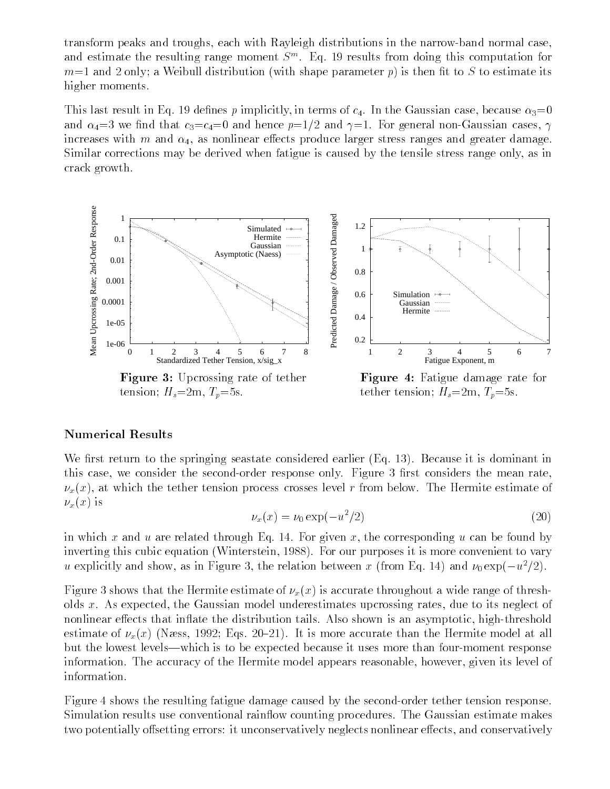transform peaks and troughs, each with Rayleigh distributions in the narrow-band normal case, and estimate the resulting range moment S<sup>m</sup> . Eq. 19 results from doing this computation for  $m=1$  and 2 only; a Weibull distribution (with shape parameter p) is then fit to S to estimate its higher moments.

This last result in Eq. 19 defines p implicitly, in terms of  $c_4$ . In the Gaussian case, because  $\alpha_3=0$ and  $\alpha_4=3$  we find that  $c_3=c_4=0$  and hence  $p=1/2$  and  $\gamma=1$ . For general non-Gaussian cases,  $\gamma$ increases with m and  $\alpha_4$ , as nonlinear effects produce larger stress ranges and greater damage. Similar corrections may be derived when fatigue is caused by the tensile stress range only, as in crack growth.



#### Numerical Results

We first return to the springing seastate considered earlier  $(Eq. 13)$ . Because it is dominant in this case, we consider the second-order response only. Figure 3 first considers the mean rate,  $\nu_x(x)$ , at which the tether tension process crosses level r from below. The Hermite estimate of  $\nu_x(x)$  is

$$
\nu_x(x) = \nu_0 \exp(-u^2/2) \tag{20}
$$

in which x and u are related through Eq. 14. For given x, the corresponding u can be found by inverting this cubic equation (Winterstein, 1988). For our purposes it is more convenient to vary u explicitly and show, as in Figure 3, the relation between x (from Eq. 14) and  $\nu_0 \exp(-u^2/2)$ .

Figure 3 shows that the Hermite estimate of  $\nu_x(x)$  is accurate throughout a wide range of thresholds x. As expected, the Gaussian model underestimates upcrossing rates, due to its neglect of nonlinear effects that inflate the distribution tails. Also shown is an asymptotic, high-threshold estimate of  $\nu_x(x)$  (Næss, 1992; Eqs. 20–21). It is more accurate than the Hermite model at all but the lowest levels—which is to be expected because it uses more than four-moment response information. The accuracy of the Hermite model appears reasonable, however, given its level of information.

Figure 4 shows the resulting fatigue damage caused by the second-order tether tension response. Simulation results use conventional rainflow counting procedures. The Gaussian estimate makes two potentially offsetting errors: it unconservatively neglects nonlinear effects, and conservatively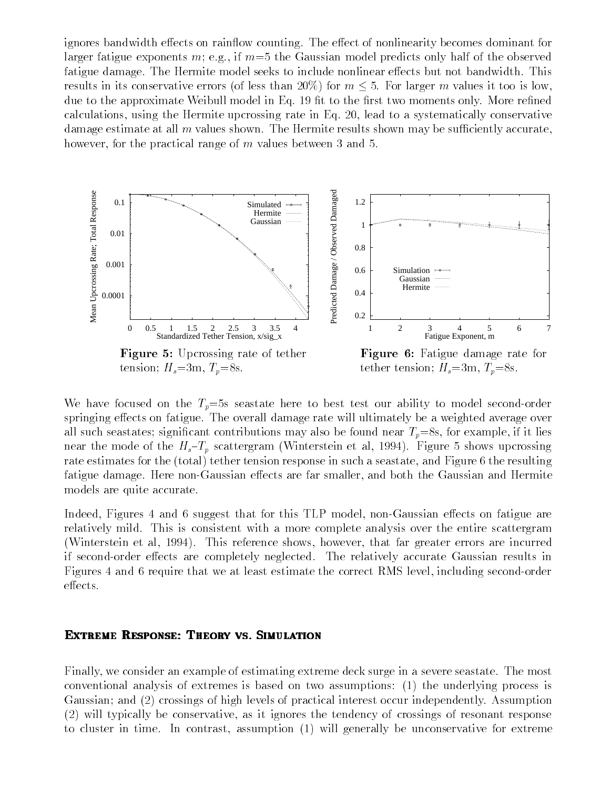ignores bandwidth effects on rainflow counting. The effect of nonlinearity becomes dominant for larger fatigue exponents m; e.g., if  $m=5$  the Gaussian model predicts only half of the observed fatigue damage. The Hermite model seeks to include nonlinear effects but not bandwidth. This results in its conservative errors (of less than 20%) for  $m \leq 5$ . For larger m values it too is low, due to the approximate Weibull model in Eq. 19 fit to the first two moments only. More refined calculations, using the Hermite upcrossing rate in Eq. 20, lead to a systematically conservative damage estimate at all  $m$  values shown. The Hermite results shown may be sufficiently accurate, however, for the practical range of m values between 3 and 5.



We have focused on the  $T_p=5s$  seastate here to best test our ability to model second-order springing effects on fatigue. The overall damage rate will ultimately be a weighted average over all such seastates; significant contributions may also be found near  $T_p=8$ s, for example, if it lies near the mode of the  $H_s-T_p$  scattergram (Winterstein et al, 1994). Figure 5 shows upcrossing rate estimates for the (total) tether tension response in such a seastate, and Figure 6 the resulting fatigue damage. Here non-Gaussian effects are far smaller, and both the Gaussian and Hermite models are quite accurate.

Indeed, Figures 4 and 6 suggest that for this TLP model, non-Gaussian effects on fatigue are relatively mild. This is consistent with a more complete analysis over the entire scattergram (Winterstein et al, 1994). This reference shows, however, that far greater errors are incurred if second-order effects are completely neglected. The relatively accurate Gaussian results in Figures 4 and 6 require that we at least estimate the correct RMS level, including second-order effects.

# EXTREME RESPONSE: THEORY VS. SIMULATION

Finally, we consider an example of estimating extreme deck surge in a severe seastate. The most conventional analysis of extremes is based on two assumptions: (1) the underlying process is Gaussian; and (2) crossings of high levels of practical interest occur independently. Assumption (2) will typically be conservative, as it ignores the tendency of crossings of resonant response to cluster in time. In contrast, assumption (1) will generally be unconservative for extreme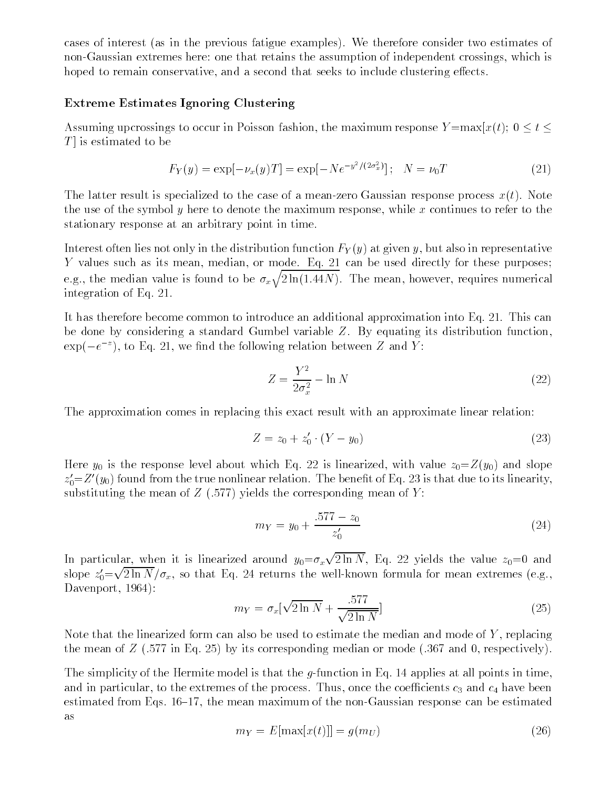cases of interest (as in the previous fatigue examples). We therefore consider two estimates of non-Gaussian extremes here: one that retains the assumption of independent crossings, which is hoped to remain conservative, and a second that seeks to include clustering effects.

# Extreme Estimates Ignoring Clustering

Assuming upcrossings to occur in Poisson fashion, the maximum response  $Y = max[x(t); 0 \le t \le$  $T$  is estimated to be

$$
F_Y(y) = \exp[-\nu_x(y)T] = \exp[-Ne^{-y^2/(2\sigma_x^2)}]; \quad N = \nu_0T
$$
 (21)

The latter result is specialized to the case of a mean-zero Gaussian response process  $x(t)$ . Note the use of the symbol y here to denote the maximum response, while x continues to refer to the stationary response at an arbitrary point in time.

Interest often lies not only in the distribution function  $F_Y(y)$  at given y, but also in representative Y values such as its mean, median, or mode. Eq. 21 can be used directly for these purposes; e.g., the median value is found to be  $\sigma_x\sqrt{2\ln(1.44N)}$ . The mean, however, requires numerical integration of Eq. 21.

It has therefore become common to introduce an additional approximation into Eq. 21. This can be done by considering a standard Gumbel variable Z. By equating its distribution function,  $\exp(-e^{-z})$ , to Eq. 21, we find the following relation between Z and Y:

$$
Z = \frac{Y^2}{2\sigma_x^2} - \ln N \tag{22}
$$

The approximation comes in replacing this exact result with an approximate linear relation:

$$
Z = z_0 + z'_0 \cdot (Y - y_0) \tag{23}
$$

Here  $y_0$  is the response level about which Eq. 22 is linearized, with value  $z_0 = Z(y_0)$  and slope  $z_0$ = $z$  (y<sub>0</sub>) found from the true nonlinear relation. The benefit of Eq. 23 is that due to its linearity, substituting the mean of  $Z(.577)$  yields the corresponding mean of Y:

$$
m_Y = y_0 + \frac{.577 - z_0}{z'_0} \tag{24}
$$

In particular, when it is linearized around  $y_0 = \sigma_x \sqrt{2 \ln N}$ , Eq. 22 yields the value  $z_0 = 0$  and slope  $z_0' {=} \sqrt{2 \ln N} / \sigma_x$ , so that Eq. 24 returns the well-known formula for mean extremes (e.g., Davenport, 1964):

$$
m_Y = \sigma_x \left[ \sqrt{2 \ln N} + \frac{.577}{\sqrt{2 \ln N}} \right] \tag{25}
$$

Note that the linearized form can also be used to estimate the median and mode of  $Y$ , replacing the mean of  $Z$  (.577 in Eq. 25) by its corresponding median or mode (.367 and 0, respectively).

The simplicity of the Hermite model is that the  $g$ -function in Eq. 14 applies at all points in time, and in particular, to the extremes of the process. Thus, once the coefficients  $c_3$  and  $c_4$  have been estimated from Eqs.  $16{-}17$ , the mean maximum of the non-Gaussian response can be estimated as

$$
m_Y = E[\max[x(t)]] = g(m_U) \tag{26}
$$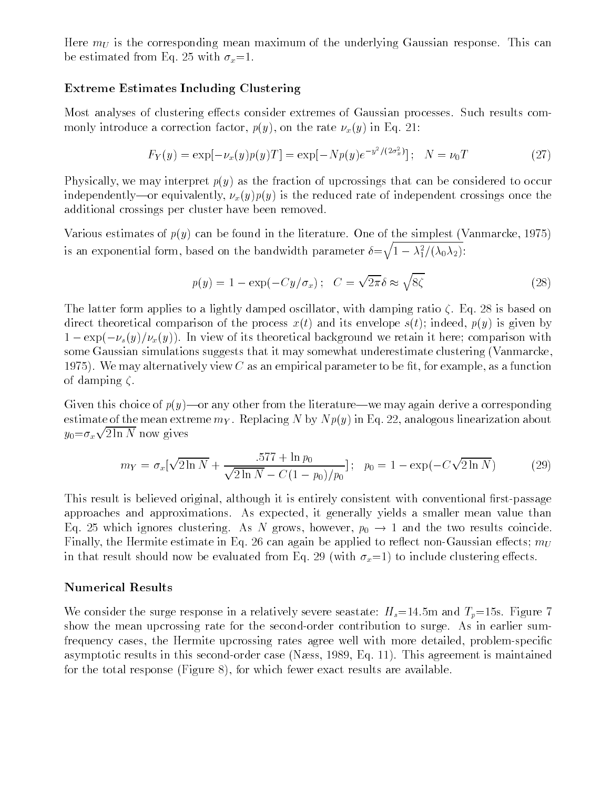Here  $m_U$  is the corresponding mean maximum of the underlying Gaussian response. This can be estimated from Eq. 25 with  $\sigma_x=1$ .

# Extreme Estimates Including Clustering

Most analyses of clustering effects consider extremes of Gaussian processes. Such results commonly introduce a correction factor,  $p(y)$ , on the rate  $\nu_x(y)$  in Eq. 21:

$$
F_Y(y) = \exp[-\nu_x(y)p(y)T] = \exp[-Np(y)e^{-y^2/(2\sigma_x^2)}]; \quad N = \nu_0T
$$
 (27)

Physically, we may interpret  $p(y)$  as the fraction of upcrossings that can be considered to occur independently—or equivalently,  $\nu_x(y)p(y)$  is the reduced rate of independent crossings once the additional crossings per cluster have been removed.

Various estimates of  $p(y)$  can be found in the literature. One of the simplest (Vanmarcke, 1975) is an exponential form, based on the bandwidth parameter  $\delta \!=\! \sqrt{1-\lambda_1^2/(\lambda_0\lambda_2)}$ :

$$
p(y) = 1 - \exp(-Cy/\sigma_x); \quad C = \sqrt{2\pi}\delta \approx \sqrt{8\zeta}
$$
 (28)

The latter form applies to a lightly damped oscillator, with damping ratio  $\zeta$ . Eq. 28 is based on direct theoretical comparison of the process  $x(t)$  and its envelope  $s(t)$ ; indeed,  $p(y)$  is given by  $1 - \exp(-\nu_s(y)/\nu_x(y))$ . In view of its theoretical background we retain it here; comparison with some Gaussian simulations suggests that it may somewhat underestimate clustering (Vanmarcke, 1975). We may alternatively view C as an empirical parameter to be fit, for example, as a function of damping  $\zeta$ .

Given this choice of  $p(y)$ —or any other from the literature—we may again derive a corresponding estimate of the mean extreme  $m<sub>Y</sub>$ . Replacing N by  $N p(y)$  in Eq. 22, analogous linearization about  $y_0 = \sigma_x \sqrt{2 \ln N}$  now gives

$$
m_Y = \sigma_x \left[ \sqrt{2 \ln N} + \frac{.577 + \ln p_0}{\sqrt{2 \ln N} - C(1 - p_0)/p_0} \right]; \ \ p_0 = 1 - \exp(-C\sqrt{2 \ln N}) \tag{29}
$$

This result is believed original, although it is entirely consistent with conventional first-passage approaches and approximations. As expected, it generally yields a smaller mean value than Eq. 25 which ignores clustering. As N grows, however,  $p_0 \rightarrow 1$  and the two results coincide. Finally, the Hermite estimate in Eq. 26 can again be applied to reflect non-Gaussian effects;  $m_U$ in that result should now be evaluated from Eq. 29 (with  $\sigma_x=1$ ) to include clustering effects.

# Numerical Results

We consider the surge response in a relatively severe seastate:  $H_s=14.5$ m and  $T_p=15$ s. Figure 7 show the mean upcrossing rate for the second-order contribution to surge. As in earlier sumfrequency cases, the Hermite upcrossing rates agree well with more detailed, problem-specific asymptotic results in this second-order case (Næss, 1989, Eq. 11). This agreement is maintained for the total response (Figure 8), for which fewer exact results are available.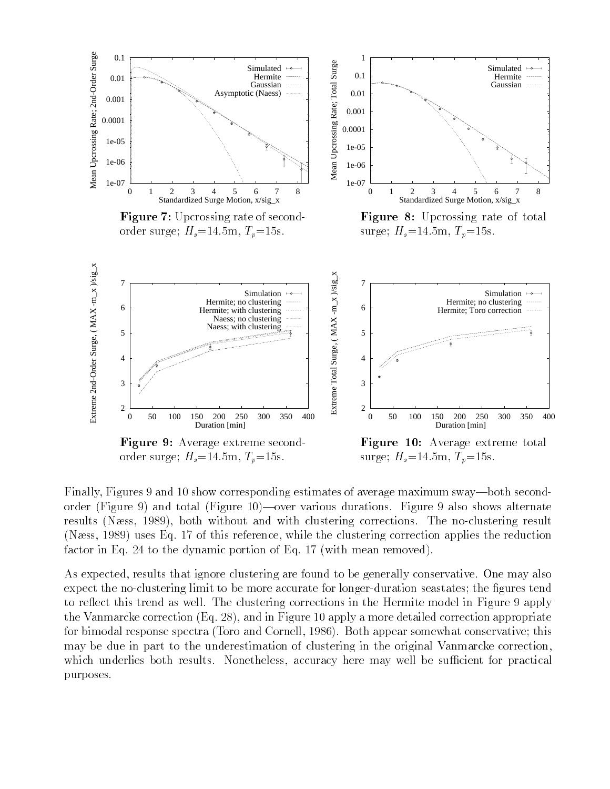

Finally, Figures 9 and 10 show corresponding estimates of average maximum sway—both secondorder (Figure 9) and total (Figure 10)—over various durations. Figure 9 also shows alternate results (Næss, 1989), both without and with clustering corrections. The no-clustering result (Næss, 1989) uses Eq. 17 of this reference, while the clustering correction applies the reduction factor in Eq. 24 to the dynamic portion of Eq. 17 (with mean removed).

As expected, results that ignore clustering are found to be generally conservative. One may also expect the no-clustering limit to be more accurate for longer-duration seastates; the figures tend to reflect this trend as well. The clustering corrections in the Hermite model in Figure 9 apply the Vanmarcke correction (Eq. 28), and in Figure 10 apply a more detailed correction appropriate for bimodal response spectra (Toro and Cornell, 1986). Both appear somewhat conservative; this may be due in part to the underestimation of clustering in the original Vanmarcke correction, which underlies both results. Nonetheless, accuracy here may well be sufficient for practical purposes.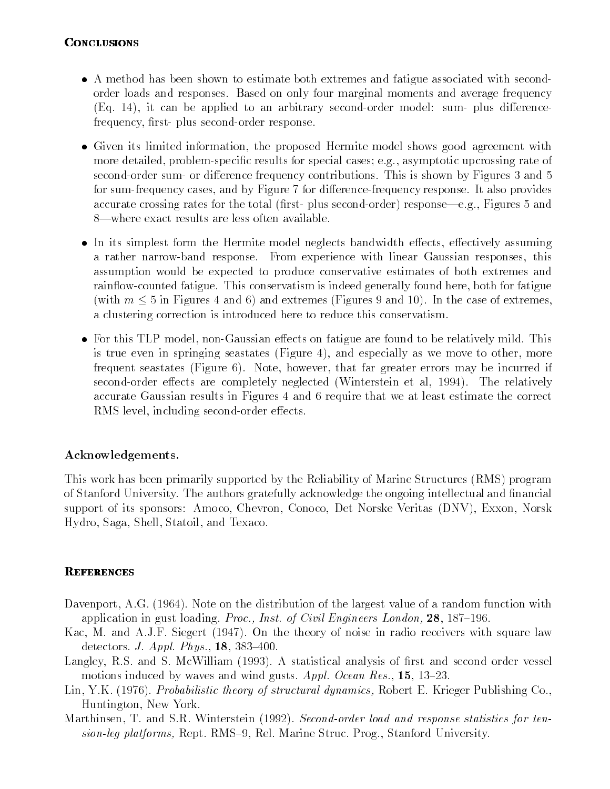# **CONCLUSIONS**

- A method has been shown to estimate both extremes and fatigue associated with secondorder loads and responses. Based on only four marginal moments and average frequency  $(Eq. 14)$ , it can be applied to an arbitrary second-order model: sum- plus differencefrequency, first- plus second-order response.
- Given its limited information, the proposed Hermite model shows good agreement with more detailed, problem-specific results for special cases; e.g., asymptotic upcrossing rate of second-order sum- or difference frequency contributions. This is shown by Figures 3 and 5 for sum-frequency cases, and by Figure 7 for difference-frequency response. It also provides accurate crossing rates for the total (first- plus second-order) response—e.g., Figures 5 and 8—where exact results are less often available.
- In its simplest form the Hermite model neglects bandwidth effects, effectively assuming a rather narrow-band response. From experience with linear Gaussian responses, this assumption would be expected to produce conservative estimates of both extremes and rainflow-counted fatigue. This conservatism is indeed generally found here, both for fatigue (with  $m \leq 5$  in Figures 4 and 6) and extremes (Figures 9 and 10). In the case of extremes, a clustering correction is introduced here to reduce this conservatism.
- For this TLP model, non-Gaussian effects on fatigue are found to be relatively mild. This is true even in springing seastates (Figure 4), and especially as we move to other, more frequent seastates (Figure 6). Note, however, that far greater errors may be incurred if second-order effects are completely neglected (Winterstein et al, 1994). The relatively accurate Gaussian results in Figures 4 and 6 require that we at least estimate the correct RMS level, including second-order effects.

# Acknowledgements.

This work has been primarily supported by the Reliability of Marine Structures (RMS) program of Stanford University. The authors gratefully acknowledge the ongoing intellectual and nancial support of its sponsors: Amoco, Chevron, Conoco, Det Norske Veritas (DNV), Exxon, Norsk Hydro, Saga, Shell, Statoil, and Texaco.

# **REFERENCES**

- Davenport, A.G. (1964). Note on the distribution of the largest value of a random function with application in gust loading. Proc., Inst. of Civil Engineers London,  $28$ , 187-196.
- Kac, M. and A.J.F. Siegert (1947). On the theory of noise in radio receivers with square law detectors. *J. Appl. Phys.*,  $18$ ,  $383-400$ .
- Langley, R.S. and S. McWilliam (1993). A statistical analysis of first and second order vessel motions induced by waves and wind gusts. Appl. Ocean Res., 15, 13-23.
- Lin, Y.K. (1976). Probabilistic theory of structural dynamics, Robert E. Krieger Publishing Co., Huntington, New York.
- Marthinsen, T. and S.R. Winterstein (1992). Second-order load and response statistics for tension-leg platforms, Rept. RMS-9, Rel. Marine Struc. Prog., Stanford University.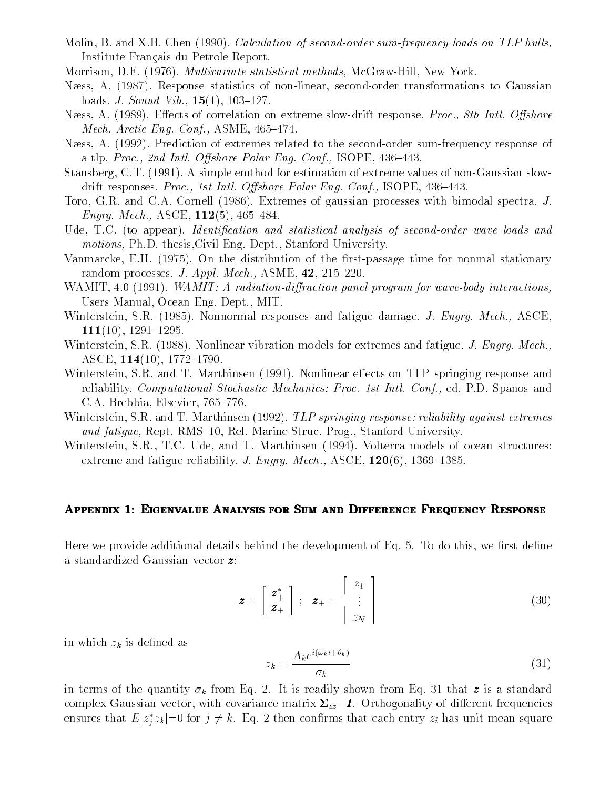- Molin, B. and X.B. Chen (1990). Calculation of second-order sum-frequency loads on TLP hulls, Institute Francais du Petrole Report.
- Morrison, D.F. (1976). *Multivariate statistical methods*, McGraw-Hill, New York.
- Næss, A. (1987). Response statistics of non-linear, second-order transformations to Gaussian loads. *J. Sound Vib.*,  $15(1)$ ,  $103-127$ .
- Næss, A. (1989). Effects of correlation on extreme slow-drift response. Proc., 8th Intl. Offshore Mech. Arctic Eng. Conf., ASME,  $465-474$ .
- Næss, A. (1992). Prediction of extremes related to the second-order sum-frequency response of a tlp. Proc., 2nd Intl. Offshore Polar Eng. Conf., ISOPE,  $436-443$ .
- Stansberg, C.T. (1991). A simple emthod for estimation of extreme values of non-Gaussian slowdrift responses. Proc., 1st Intl. Offshore Polar Eng. Conf., ISOPE,  $436-443$ .
- Toro, G.R. and C.A. Cornell (1986). Extremes of gaussian processes with bimodal spectra. J. Engrg. Mech., ASCE,  $112(5)$ , 465-484.
- Ude, T.C. (to appear). Identification and statistical analysis of second-order wave loads and motions, Ph.D. thesis,Civil Eng. Dept., Stanford University.
- Vanmarcke, E.H. (1975). On the distribution of the first-passage time for nonmal stationary random processes. J. Appl. Mech., ASME,  $42$ ,  $215-220$ .
- WAMIT, 4.0 (1991). WAMIT: A radiation-diffraction panel program for wave-body interactions, Users Manual, Ocean Eng. Dept., MIT.
- Winterstein, S.R. (1985). Nonnormal responses and fatigue damage. J. Engrg. Mech., ASCE,  $111(10), 1291-1295.$
- Winterstein, S.R. (1988). Nonlinear vibration models for extremes and fatigue. J. Engrg. Mech., ASCE,  $114(10)$ ,  $1772-1790$ .
- Winterstein, S.R. and T. Marthinsen (1991). Nonlinear effects on TLP springing response and reliability. Computational Stochastic Mechanics: Proc. 1st Intl. Conf., ed. P.D. Spanos and C.A. Brebbia, Elsevier, 765-776.
- Winterstein, S.R. and T. Marthinsen (1992). TLP springing response: reliability against extremes and fatigue, Rept. RMS-10, Rel. Marine Struc. Prog., Stanford University.
- Winterstein, S.R., T.C. Ude, and T. Marthinsen (1994). Volterra models of ocean structures: extreme and fatigue reliability. J. Engrg. Mech., ASCE,  $120(6)$ , 1369–1385.

# APPENDIX 1: EIGENVALUE ANALYSIS FOR SUM AND DIFFERENCE FREQUENCY RESPONSE

Here we provide additional details behind the development of Eq.  $5$ . To do this, we first define a standardized Gaussian vector z:

$$
\boldsymbol{z} = \begin{bmatrix} \boldsymbol{z}_{+}^{*} \\ \boldsymbol{z}_{+} \end{bmatrix} ; \ \ \boldsymbol{z}_{+} = \begin{bmatrix} z_{1} \\ \vdots \\ z_{N} \end{bmatrix}
$$
 (30)

<sup>3</sup>

<sup>2</sup>

in which  $z_k$  is defined as

$$
z_k = \frac{A_k e^{i(\omega_k t + \theta_k)}}{\sigma_k} \tag{31}
$$

in terms of the quantity  $\sigma_k$  from Eq. 2. It is readily shown from Eq. 31 that z is a standard complex Gaussian vector, with covariance matrix  $\Sigma_{zz} = I$ . Orthogonality of different frequencies ensures that  $E[z_i z_k]=0$  for  $j\neq k$ . Eq. 2 then confirms that each entry  $z_i$  has unit mean-square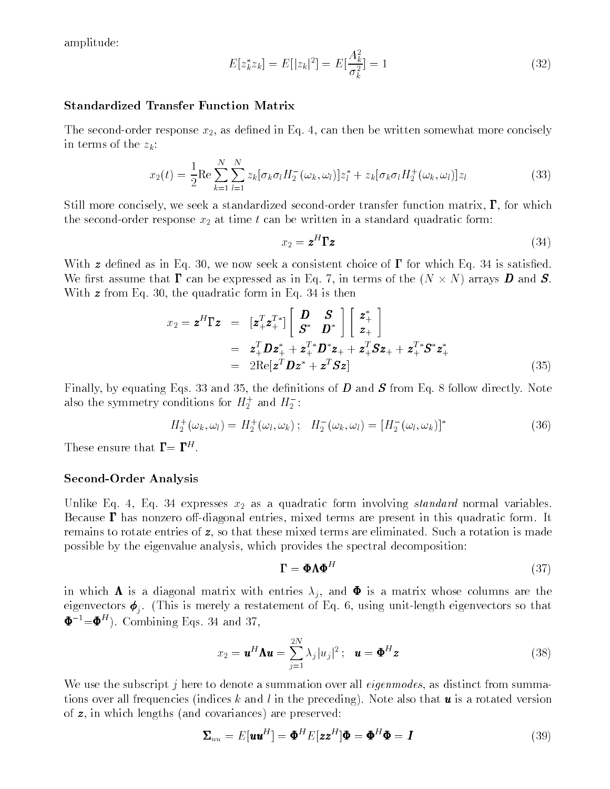amplitude:

$$
E[z_k^* z_k] = E[|z_k|^2] = E[\frac{A_k^2}{\sigma_k^2}] = 1
$$
\n(32)

#### Standardized Transfer Function Matrix

The second-order response  $x_2$ , as defined in Eq. 4, can then be written somewhat more concisely in terms of the  $z_k$ :

$$
x_2(t) = \frac{1}{2} \text{Re} \sum_{k=1}^{N} \sum_{l=1}^{N} z_k [\sigma_k \sigma_l H_2^-(\omega_k, \omega_l)] z_l^* + z_k [\sigma_k \sigma_l H_2^+(\omega_k, \omega_l)] z_l
$$
(33)

Still more concisely, we seek a standardized second-order transfer function matrix,  $\Gamma$ , for which the second-order response  $x_2$  at time t can be written in a standard quadratic form:

$$
x_2 = \mathbf{z}^H \Gamma \mathbf{z} \tag{34}
$$

With  $\boldsymbol{z}$  defined as in Eq. 30, we now seek a consistent choice of  $\boldsymbol{\Gamma}$  for which Eq. 34 is satisfied. We rst assume that can be expressed as in Eq. 7, in terms of the (N - N) arrays D and S. With **z** from Eq. 30, the quadratic form in Eq. 34 is then

$$
x_2 = \mathbf{z}^H \mathbf{\Gamma} \mathbf{z} = \begin{bmatrix} \mathbf{z}_+^T \mathbf{z}_+^T \end{bmatrix} \begin{bmatrix} \mathbf{D} & \mathbf{S} \\ \mathbf{S}^* & \mathbf{D}^* \end{bmatrix} \begin{bmatrix} \mathbf{z}_+^* \\ \mathbf{z}_+ \end{bmatrix} \\
= \begin{bmatrix} \mathbf{z}_+^T \mathbf{D} \mathbf{z}_+^* + \mathbf{z}_+^T \mathbf{D}^* \mathbf{z}_+ + \mathbf{z}_+^T \mathbf{S} \mathbf{z}_+ + \mathbf{z}_+^T \mathbf{S}^* \mathbf{z}_+^* \\ \mathbf{z}_+^T \mathbf{D} \mathbf{z}_+^* + \mathbf{z}_+^T \mathbf{S} \mathbf{z}_+ + \mathbf{z}_+^T \mathbf{S}^* \mathbf{z}_+^* \end{bmatrix} \tag{35}
$$

Finally, by equating Eqs. 33 and 35, the definitions of  $D$  and  $S$  from Eq. 8 follow directly. Note also the symmetry conditions for  $H_2^+$  and  $H_2^+$ :

$$
H_2^+(\omega_k, \omega_l) = H_2^+(\omega_l, \omega_k); \quad H_2^-(\omega_k, \omega_l) = [H_2^-(\omega_l, \omega_k)]^*
$$
\n(36)

 $\text{These}$  ensure that  $\mathbf{I} = \mathbf{I}$ .

#### Second-Order Analysis

Unlike Eq. 4, Eq. 34 expresses  $x_2$  as a quadratic form involving *standard* normal variables. Because  $\Gamma$  has nonzero off-diagonal entries, mixed terms are present in this quadratic form. It remains to rotate entries of z, so that these mixed terms are eliminated. Such a rotation is made possible by the eigenvalue analysis, which provides the spectral decomposition:

$$
\mathbf{\Gamma} = \mathbf{\Phi} \mathbf{\Lambda} \mathbf{\Phi}^H \tag{37}
$$

in which  $\Lambda$  is a diagonal matrix with entries  $\lambda_j$ , and  $\Phi$  is a matrix whose columns are the . (The restatement of  $\Pi$  restatement of  $\Pi$  restatement of  $\Pi$  restatement eigenvectors so that  $\Pi$  $\Psi^- = \Psi^+$ ). Combining Eqs. 34 and 37,

$$
x_2 = \boldsymbol{u}^H \boldsymbol{\Lambda} \boldsymbol{u} = \sum_{j=1}^{2N} \lambda_j |u_j|^2; \quad \boldsymbol{u} = \boldsymbol{\Phi}^H \boldsymbol{z}
$$
 (38)

We use the subscript j here to denote a summation over all *eigenmodes*, as distinct from summations over all frequencies (indices k and l in the preceding). Note also that  $\boldsymbol{u}$  is a rotated version of z, in which lengths (and covariances) are preserved:

$$
\Sigma_{uu} = E[\mathbf{u}\mathbf{u}^H] = \mathbf{\Phi}^H E[\mathbf{z}\mathbf{z}^H] \mathbf{\Phi} = \mathbf{\Phi}^H \mathbf{\Phi} = \mathbf{I}
$$
\n(39)